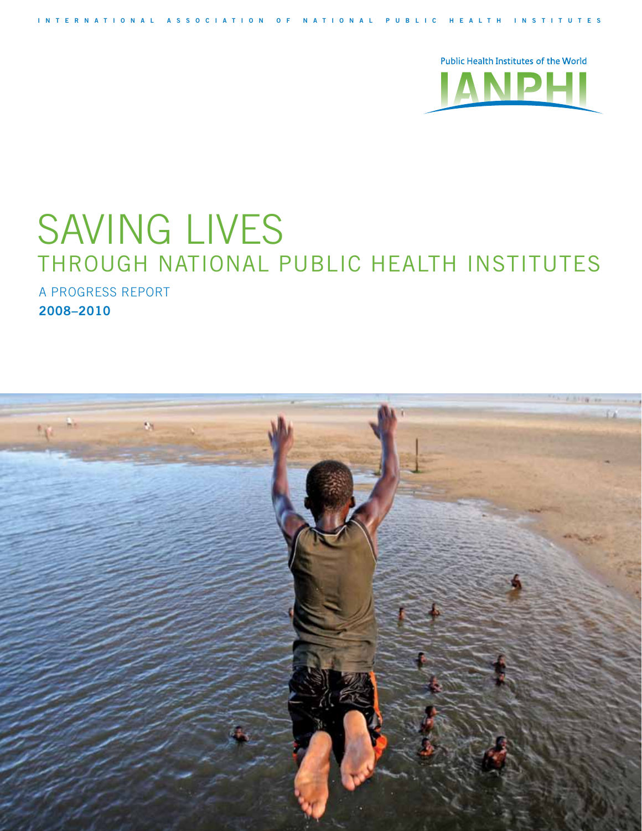

# **SAVING LIVES** through National Public Health Institutes

**I n t e r n a t i o n a l A s s o c i a t i o n o f N a t i o n a l P u b l i c H e a l t h I n s t i t u t e s**

A Progress Report **2008–2010**

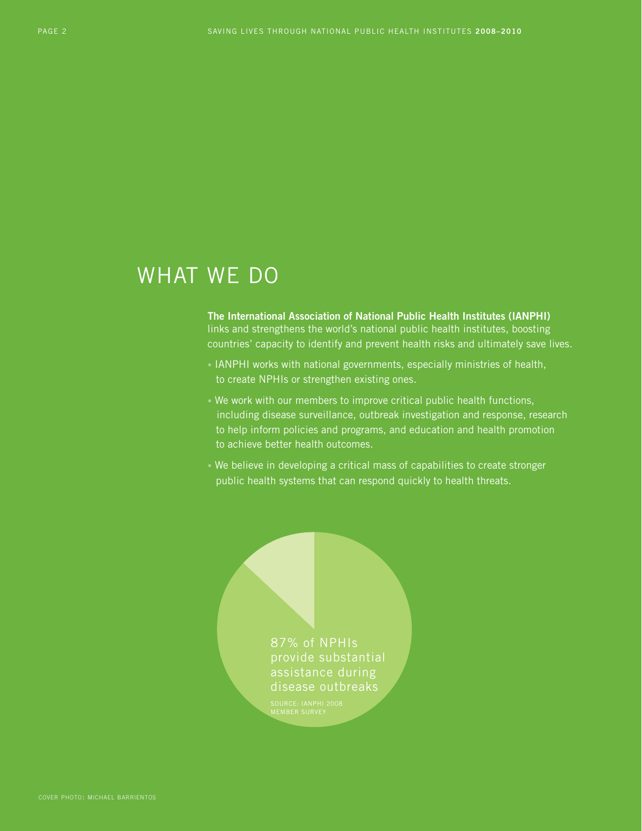# WHAT WE DO

**The International Association of National Public Health Institutes (IANPHI)**  links and strengthens the world's national public health institutes, boosting countries' capacity to identify and prevent health risks and ultimately save lives.

- IANPHI works with national governments, especially ministries of health, to create NPHIs or strengthen existing ones.
- We work with our members to improve critical public health functions, including disease surveillance, outbreak investigation and response, research to help inform policies and programs, and education and health promotion to achieve better health outcomes.
- We believe in developing a critical mass of capabilities to create stronger public health systems that can respond quickly to health threats.

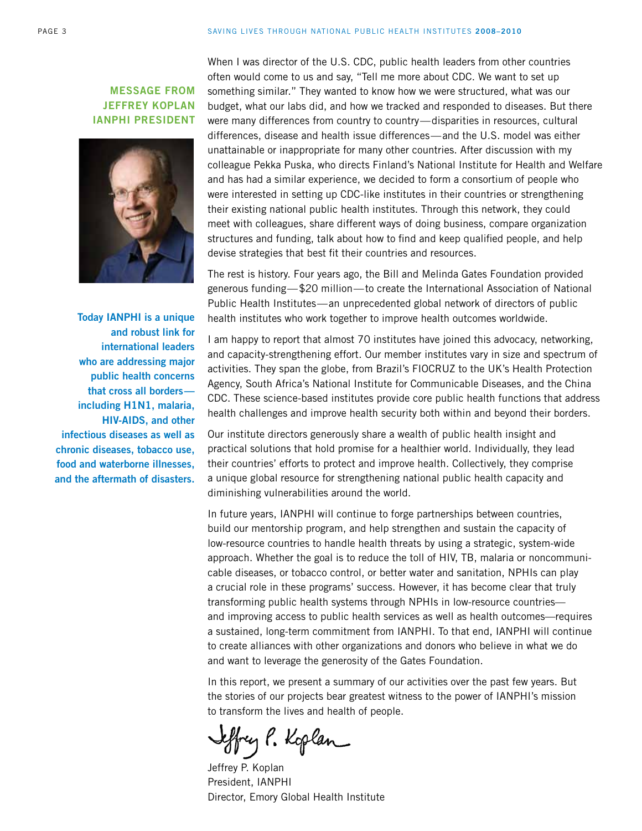### **Message from Jeffrey Koplan IANPHI President**



**Today IANPHI is a unique and robust link for international leaders who are addressing major public health concerns that cross all borders including H1N1, malaria, HIV-AIDS, and other infectious diseases as well as chronic diseases, tobacco use, food and waterborne illnesses, and the aftermath of disasters.**  When I was director of the U.S. CDC, public health leaders from other countries often would come to us and say, "Tell me more about CDC. We want to set up something similar." They wanted to know how we were structured, what was our budget, what our labs did, and how we tracked and responded to diseases. But there were many differences from country to country—disparities in resources, cultural differences, disease and health issue differences—and the U.S. model was either unattainable or inappropriate for many other countries. After discussion with my colleague Pekka Puska, who directs Finland's National Institute for Health and Welfare and has had a similar experience, we decided to form a consortium of people who were interested in setting up CDC-like institutes in their countries or strengthening their existing national public health institutes. Through this network, they could meet with colleagues, share different ways of doing business, compare organization structures and funding, talk about how to find and keep qualified people, and help devise strategies that best fit their countries and resources.

The rest is history. Four years ago, the Bill and Melinda Gates Foundation provided generous funding—\$20 million—to create the International Association of National Public Health Institutes—an unprecedented global network of directors of public health institutes who work together to improve health outcomes worldwide.

I am happy to report that almost 70 institutes have joined this advocacy, networking, and capacity-strengthening effort. Our member institutes vary in size and spectrum of activities. They span the globe, from Brazil's FIOCRUZ to the UK's Health Protection Agency, South Africa's National Institute for Communicable Diseases, and the China CDC. These science-based institutes provide core public health functions that address health challenges and improve health security both within and beyond their borders.

Our institute directors generously share a wealth of public health insight and practical solutions that hold promise for a healthier world. Individually, they lead their countries' efforts to protect and improve health. Collectively, they comprise a unique global resource for strengthening national public health capacity and diminishing vulnerabilities around the world.

In future years, IANPHI will continue to forge partnerships between countries, build our mentorship program, and help strengthen and sustain the capacity of low-resource countries to handle health threats by using a strategic, system-wide approach. Whether the goal is to reduce the toll of HIV, TB, malaria or noncommunicable diseases, or tobacco control, or better water and sanitation, NPHIs can play a crucial role in these programs' success. However, it has become clear that truly transforming public health systems through NPHIs in low-resource countries and improving access to public health services as well as health outcomes—requires a sustained, long-term commitment from IANPHI. To that end, IANPHI will continue to create alliances with other organizations and donors who believe in what we do and want to leverage the generosity of the Gates Foundation.

In this report, we present a summary of our activities over the past few years. But the stories of our projects bear greatest witness to the power of IANPHI's mission to transform the lives and health of people.

effrey P. Koplan

Jeffrey P. Koplan President, IANPHI Director, Emory Global Health Institute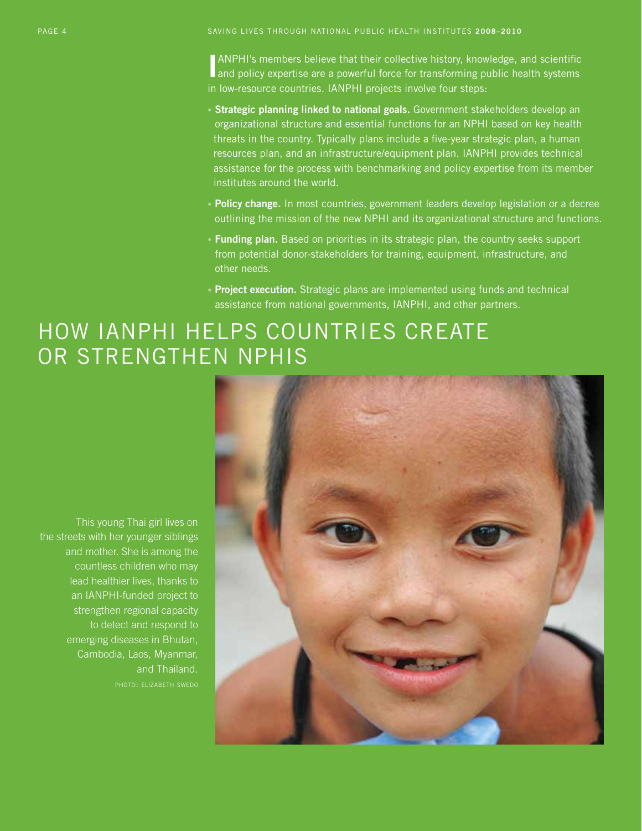page 4 Saving Lives through National Public Health Institutes **2008–2010**

**I** ANPHI's members believe that their collective history, knowledge, and scientific and policy expertise are a powerful force for transforming public health systems ANPHI's members believe that their collective history, knowledge, and scientific in low-resource countries. IANPHI projects involve four steps:

- Strategic planning linked to national goals. Government stakeholders develop an organizational structure and essential functions for an NPHI based on key health threats in the country. Typically plans include a five-year strategic plan, a human resources plan, and an infrastructure/equipment plan. IANPHI provides technical assistance for the process with benchmarking and policy expertise from its member institutes around the world.
- • **Policy change.** In most countries, government leaders develop legislation or a decree outlining the mission of the new NPHI and its organizational structure and functions.
- Funding plan. Based on priorities in its strategic plan, the country seeks support from potential donor-stakeholders for training, equipment, infrastructure, and other needs.
- **Project execution.** Strategic plans are implemented using funds and technical assistance from national governments, IANPHI, and other partners.

# HOW IANPHI HELPS COUNTRIES CREATE or strengthen NPHIs

This young Thai girl lives on the streets with her younger siblings and mother. She is among the countless children who may lead healthier lives, thanks to an IANPHI-funded project to strengthen regional capacity to detect and respond to emerging diseases in Bhutan, Cambodia, Laos, Myanmar, and Thailand.

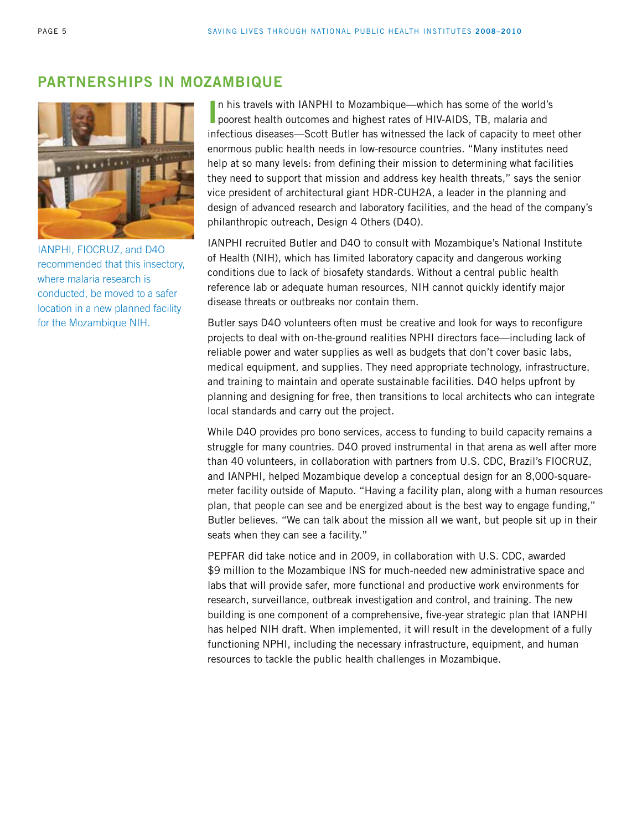### **Partnerships in Mozambique**



IANPHI, FIOCRUZ, and D4O recommended that this insectory, where malaria research is conducted, be moved to a safer location in a new planned facility for the Mozambique NIH.

In his travels with IANPHI to Mozambique—which has some of the world's poorest health outcomes and highest rates of HIV-AIDS, TB, malaria and n his travels with IANPHI to Mozambique—which has some of the world's infectious diseases—Scott Butler has witnessed the lack of capacity to meet other enormous public health needs in low-resource countries. "Many institutes need help at so many levels: from defining their mission to determining what facilities they need to support that mission and address key health threats," says the senior vice president of architectural giant HDR-CUH2A, a leader in the planning and design of advanced research and laboratory facilities, and the head of the company's philanthropic outreach, Design 4 Others (D4O).

IANPHI recruited Butler and D4O to consult with Mozambique's National Institute of Health (NIH), which has limited laboratory capacity and dangerous working conditions due to lack of biosafety standards. Without a central public health reference lab or adequate human resources, NIH cannot quickly identify major disease threats or outbreaks nor contain them.

Butler says D4O volunteers often must be creative and look for ways to reconfigure projects to deal with on-the-ground realities NPHI directors face—including lack of reliable power and water supplies as well as budgets that don't cover basic labs, medical equipment, and supplies. They need appropriate technology, infrastructure, and training to maintain and operate sustainable facilities. D4O helps upfront by planning and designing for free, then transitions to local architects who can integrate local standards and carry out the project.

While D4O provides pro bono services, access to funding to build capacity remains a struggle for many countries. D4O proved instrumental in that arena as well after more than 40 volunteers, in collaboration with partners from U.S. CDC, Brazil's FIOCRUZ, and IANPHI, helped Mozambique develop a conceptual design for an 8,000-squaremeter facility outside of Maputo. "Having a facility plan, along with a human resources plan, that people can see and be energized about is the best way to engage funding," Butler believes. "We can talk about the mission all we want, but people sit up in their seats when they can see a facility."

PEPFAR did take notice and in 2009, in collaboration with U.S. CDC, awarded \$9 million to the Mozambique INS for much-needed new administrative space and labs that will provide safer, more functional and productive work environments for research, surveillance, outbreak investigation and control, and training. The new building is one component of a comprehensive, five-year strategic plan that IANPHI has helped NIH draft. When implemented, it will result in the development of a fully functioning NPHI, including the necessary infrastructure, equipment, and human resources to tackle the public health challenges in Mozambique.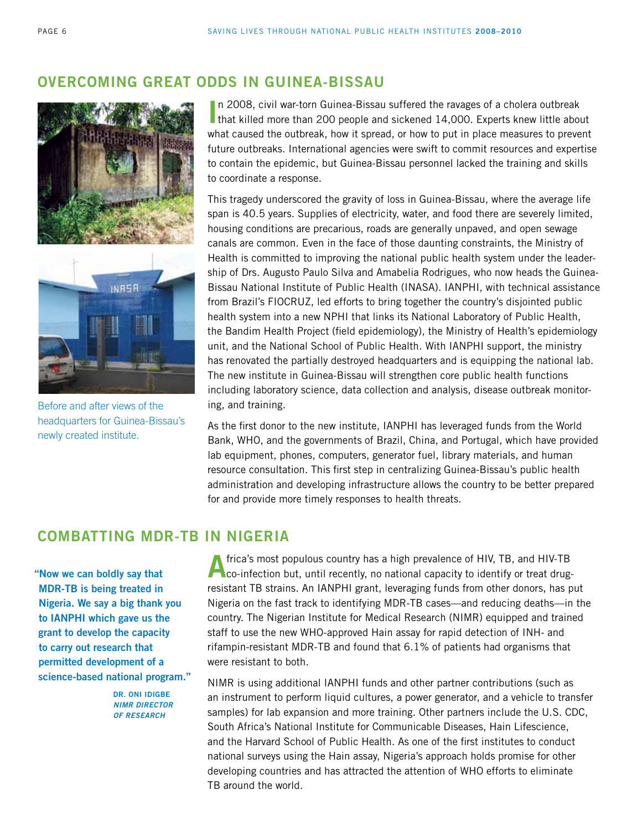## **Overcoming Great Odds in Guinea-Bissau**





Before and after views of the headquarters for Guinea-Bissau's newly created institute.

In 2008, civil war-torn Guinea-Bissau suffered the ravages of a cholera outbreak<br>that killed more than 200 people and sickened 14,000. Experts knew little about n 2008, civil war-torn Guinea-Bissau suffered the ravages of a cholera outbreak what caused the outbreak, how it spread, or how to put in place measures to prevent future outbreaks. International agencies were swift to commit resources and expertise to contain the epidemic, but Guinea-Bissau personnel lacked the training and skills to coordinate a response.

This tragedy underscored the gravity of loss in Guinea-Bissau, where the average life span is 40.5 years. Supplies of electricity, water, and food there are severely limited, housing conditions are precarious, roads are generally unpaved, and open sewage canals are common. Even in the face of those daunting constraints, the Ministry of Health is committed to improving the national public health system under the leadership of Drs. Augusto Paulo Silva and Amabelia Rodrigues, who now heads the Guinea-Bissau National Institute of Public Health (INASA). IANPHI, with technical assistance from Brazil's FIOCRUZ, led efforts to bring together the country's disjointed public health system into a new NPHI that links its National Laboratory of Public Health, the Bandim Health Project (field epidemiology), the Ministry of Health's epidemiology unit, and the National School of Public Health. With IANPHI support, the ministry has renovated the partially destroyed headquarters and is equipping the national lab. The new institute in Guinea-Bissau will strengthen core public health functions including laboratory science, data collection and analysis, disease outbreak monitoring, and training.

As the first donor to the new institute, IANPHI has leveraged funds from the World Bank, WHO, and the governments of Brazil, China, and Portugal, which have provided lab equipment, phones, computers, generator fuel, library materials, and human resource consultation. This first step in centralizing Guinea-Bissau's public health administration and developing infrastructure allows the country to be better prepared for and provide more timely responses to health threats.

### **Combatting MDR-TB in Nigeria**

**"Now we can boldly say that MDR-TB is being treated in Nigeria. We say a big thank you to IANPHI which gave us the grant to develop the capacity to carry out research that permitted development of a science-based national program."**

> **Dr. Oni Idigbe** *NIMR Director of Research*

**A**frica's most populous country has a high prevalence of HIV, TB, and HIV-TB **Co-infection but, until recently, no national capacity to identify or treat drug**resistant TB strains. An IANPHI grant, leveraging funds from other donors, has put Nigeria on the fast track to identifying MDR-TB cases—and reducing deaths—in the country. The Nigerian Institute for Medical Research (NIMR) equipped and trained staff to use the new WHO-approved Hain assay for rapid detection of INH- and rifampin-resistant MDR-TB and found that 6.1% of patients had organisms that were resistant to both.

NIMR is using additional IANPHI funds and other partner contributions (such as an instrument to perform liquid cultures, a power generator, and a vehicle to transfer samples) for lab expansion and more training. Other partners include the U.S. CDC, South Africa's National Institute for Communicable Diseases, Hain Lifescience, and the Harvard School of Public Health. As one of the first institutes to conduct national surveys using the Hain assay, Nigeria's approach holds promise for other developing countries and has attracted the attention of WHO efforts to eliminate TB around the world.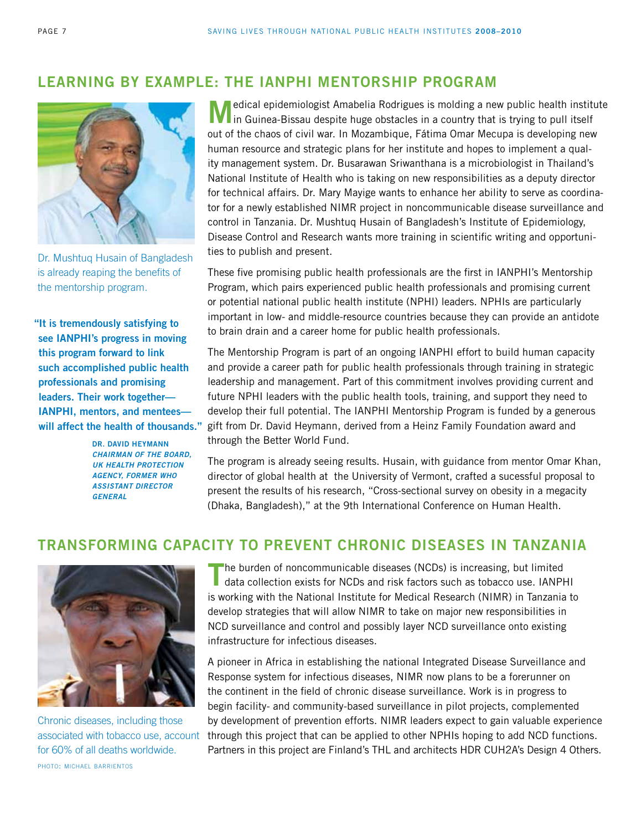### **Learning by Example: The IANPHI Mentorship Program**



Dr. Mushtuq Husain of Bangladesh is already reaping the benefits of the mentorship program.

**"It is tremendously satisfying to see IANPHI's progress in moving this program forward to link such accomplished public health professionals and promising leaders. Their work together— IANPHI, mentors, and mentees will affect the health of thousands."**

> **Dr. David Heymann** *Chairman of the Board, UK Health Protection Agency, former WHO Assistant Director General*

**M**edical epidemiologist Amabelia Rodrigues is molding a new public health institute In Guinea-Bissau despite huge obstacles in a country that is trying to pull itself out of the chaos of civil war. In Mozambique, Fátima Omar Mecupa is developing new human resource and strategic plans for her institute and hopes to implement a quality management system. Dr. Busarawan Sriwanthana is a microbiologist in Thailand's National Institute of Health who is taking on new responsibilities as a deputy director for technical affairs. Dr. Mary Mayige wants to enhance her ability to serve as coordinator for a newly established NIMR project in noncommunicable disease surveillance and control in Tanzania. Dr. Mushtuq Husain of Bangladesh's Institute of Epidemiology, Disease Control and Research wants more training in scientific writing and opportunities to publish and present.

These five promising public health professionals are the first in IANPHI's Mentorship Program, which pairs experienced public health professionals and promising current or potential national public health institute (NPHI) leaders. NPHIs are particularly important in low- and middle-resource countries because they can provide an antidote to brain drain and a career home for public health professionals.

The Mentorship Program is part of an ongoing IANPHI effort to build human capacity and provide a career path for public health professionals through training in strategic leadership and management. Part of this commitment involves providing current and future NPHI leaders with the public health tools, training, and support they need to develop their full potential. The IANPHI Mentorship Program is funded by a generous gift from Dr. David Heymann, derived from a Heinz Family Foundation award and through the Better World Fund.

The program is already seeing results. Husain, with guidance from mentor Omar Khan, director of global health at the University of Vermont, crafted a sucessful proposal to present the results of his research, "Cross-sectional survey on obesity in a megacity (Dhaka, Bangladesh)," at the 9th International Conference on Human Health.

# **Transforming capacity to prevent chronic diseases in Tanzania**



Chronic diseases, including those associated with tobacco use, account for 60% of all deaths worldwide. photo: michael barrientos

The burden of noncommunicable diseases (NCDs) is increasing, but limited data collection exists for NCDs and risk factors such as tobacco use. IANPH is working with the National Institute for Medical Research (NIMR) in Tanzania to develop strategies that will allow NIMR to take on major new responsibilities in NCD surveillance and control and possibly layer NCD surveillance onto existing infrastructure for infectious diseases.

A pioneer in Africa in establishing the national Integrated Disease Surveillance and Response system for infectious diseases, NIMR now plans to be a forerunner on the continent in the field of chronic disease surveillance. Work is in progress to begin facility- and community-based surveillance in pilot projects, complemented by development of prevention efforts. NIMR leaders expect to gain valuable experience through this project that can be applied to other NPHIs hoping to add NCD functions. Partners in this project are Finland's THL and architects HDR CUH2A's Design 4 Others.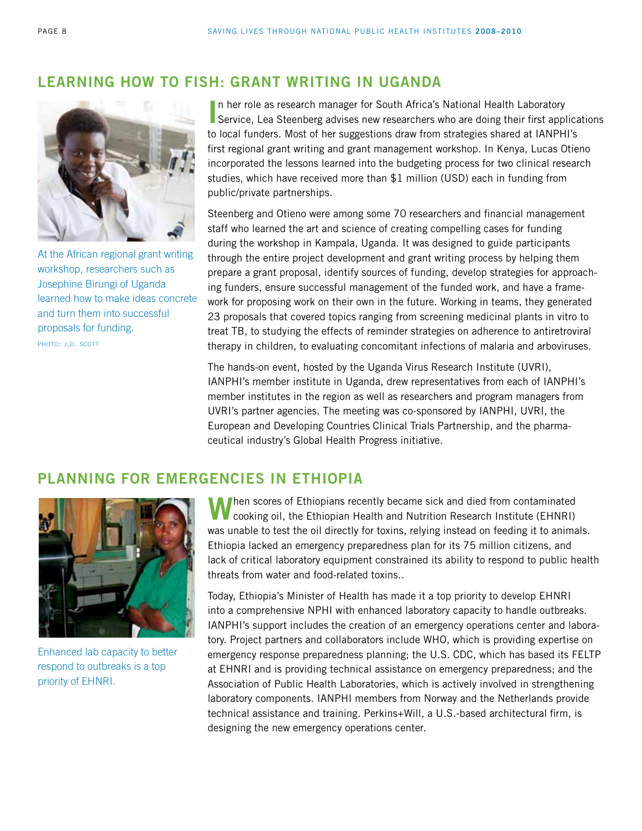# **Learning How to Fish: Grant Writing in Uganda**



At the African regional grant writing workshop, researchers such as Josephine Birungi of Uganda learned how to make ideas concrete and turn them into successful proposals for funding. photo: j.d. scott

In her role as research manager for South Africa's National Health Laboratory<br>Service, Lea Steenberg advises new researchers who are doing their first applications n her role as research manager for South Africa's National Health Laboratory to local funders. Most of her suggestions draw from strategies shared at IANPHI's first regional grant writing and grant management workshop. In Kenya, Lucas Otieno incorporated the lessons learned into the budgeting process for two clinical research studies, which have received more than \$1 million (USD) each in funding from public/private partnerships.

Steenberg and Otieno were among some 70 researchers and financial management staff who learned the art and science of creating compelling cases for funding during the workshop in Kampala, Uganda. It was designed to guide participants through the entire project development and grant writing process by helping them prepare a grant proposal, identify sources of funding, develop strategies for approaching funders, ensure successful management of the funded work, and have a framework for proposing work on their own in the future. Working in teams, they generated 23 proposals that covered topics ranging from screening medicinal plants in vitro to treat TB, to studying the effects of reminder strategies on adherence to antiretroviral therapy in children, to evaluating concomitant infections of malaria and arboviruses.

The hands-on event, hosted by the Uganda Virus Research Institute (UVRI), IANPHI's member institute in Uganda, drew representatives from each of IANPHI's member institutes in the region as well as researchers and program managers from UVRI's partner agencies. The meeting was co-sponsored by IANPHI, UVRI, the European and Developing Countries Clinical Trials Partnership, and the pharmaceutical industry's Global Health Progress initiative.

### **Planning for Emergencies in Ethiopia**



Enhanced lab capacity to better respond to outbreaks is a top priority of EHNRI.

**W**hen scores of Ethiopians recently became sick and died from contaminated cooking oil, the Ethiopian Health and Nutrition Research Institute (EHNRI) was unable to test the oil directly for toxins, relying instead on feeding it to animals. Ethiopia lacked an emergency preparedness plan for its 75 million citizens, and lack of critical laboratory equipment constrained its ability to respond to public health threats from water and food-related toxins..

Today, Ethiopia's Minister of Health has made it a top priority to develop EHNRI into a comprehensive NPHI with enhanced laboratory capacity to handle outbreaks. IANPHI's support includes the creation of an emergency operations center and laboratory. Project partners and collaborators include WHO, which is providing expertise on emergency response preparedness planning; the U.S. CDC, which has based its FELTP at EHNRI and is providing technical assistance on emergency preparedness; and the Association of Public Health Laboratories, which is actively involved in strengthening laboratory components. IANPHI members from Norway and the Netherlands provide technical assistance and training. Perkins+Will, a U.S.-based architectural firm, is designing the new emergency operations center.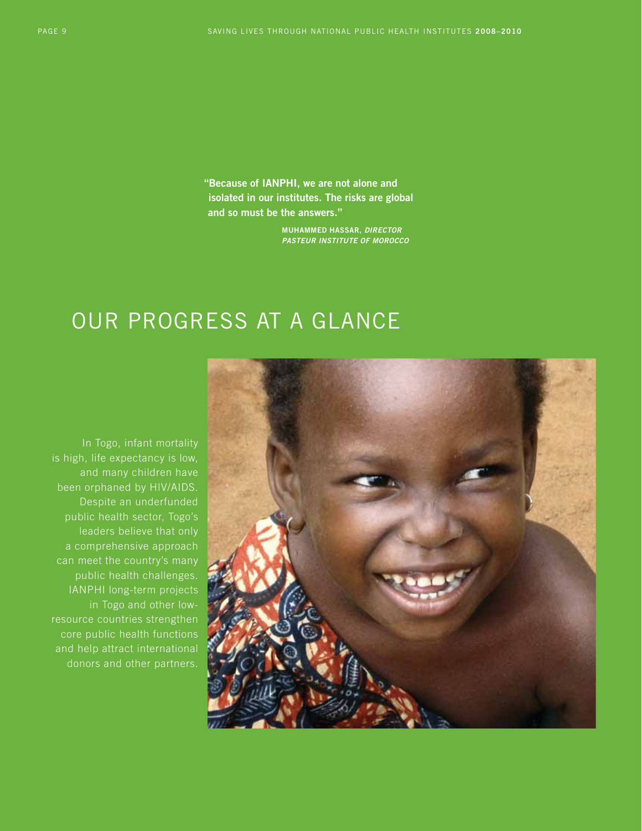**"Because of IANPHI, we are not alone and isolated in our institutes. The risks are global and so must be the answers."**

> **Muhammed Hassar,** *Director Pasteur Institute of Morocco*

# Our Progress at a Glance

In Togo, infant mortality is high, life expectancy is low, and many children have been orphaned by HIV/AIDS. Despite an underfunded public health sector, Togo's leaders believe that only a comprehensive approach can meet the country's many public health challenges. IANPHI long-term projects in Togo and other lowresource countries strengthen core public health functions and help attract international donors and other partners.

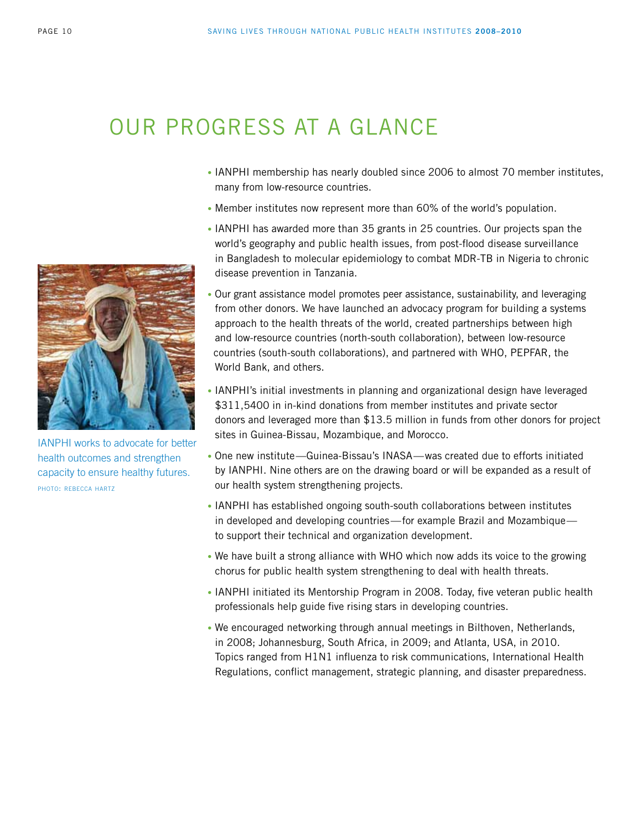# Our Progress at a Glance

- IANPHI membership has nearly doubled since 2006 to almost 70 member institutes, many from low-resource countries.
- Member institutes now represent more than 60% of the world's population.
- IANPHI has awarded more than 35 grants in 25 countries. Our projects span the world's geography and public health issues, from post-flood disease surveillance in Bangladesh to molecular epidemiology to combat MDR-TB in Nigeria to chronic disease prevention in Tanzania.
- Our grant assistance model promotes peer assistance, sustainability, and leveraging from other donors. We have launched an advocacy program for building a systems approach to the health threats of the world, created partnerships between high and low-resource countries (north-south collaboration), between low-resource countries (south-south collaborations), and partnered with WHO, PEPFAR, the World Bank, and others.
- IANPHI's initial investments in planning and organizational design have leveraged \$311,5400 in in-kind donations from member institutes and private sector donors and leveraged more than \$13.5 million in funds from other donors for project sites in Guinea-Bissau, Mozambique, and Morocco.
- One new institute—Guinea-Bissau's INASA—was created due to efforts initiated by IANPHI. Nine others are on the drawing board or will be expanded as a result of our health system strengthening projects.
- IANPHI has established ongoing south-south collaborations between institutes in developed and developing countries—for example Brazil and Mozambique to support their technical and organization development.
- We have built a strong alliance with WHO which now adds its voice to the growing chorus for public health system strengthening to deal with health threats.
- IANPHI initiated its Mentorship Program in 2008. Today, five veteran public health professionals help guide five rising stars in developing countries.
- We encouraged networking through annual meetings in Bilthoven, Netherlands, in 2008; Johannesburg, South Africa, in 2009; and Atlanta, USA, in 2010. Topics ranged from H1N1 influenza to risk communications, International Health Regulations, conflict management, strategic planning, and disaster preparedness.



IANPHI works to advocate for better health outcomes and strengthen capacity to ensure healthy futures. photo: rebecca hartz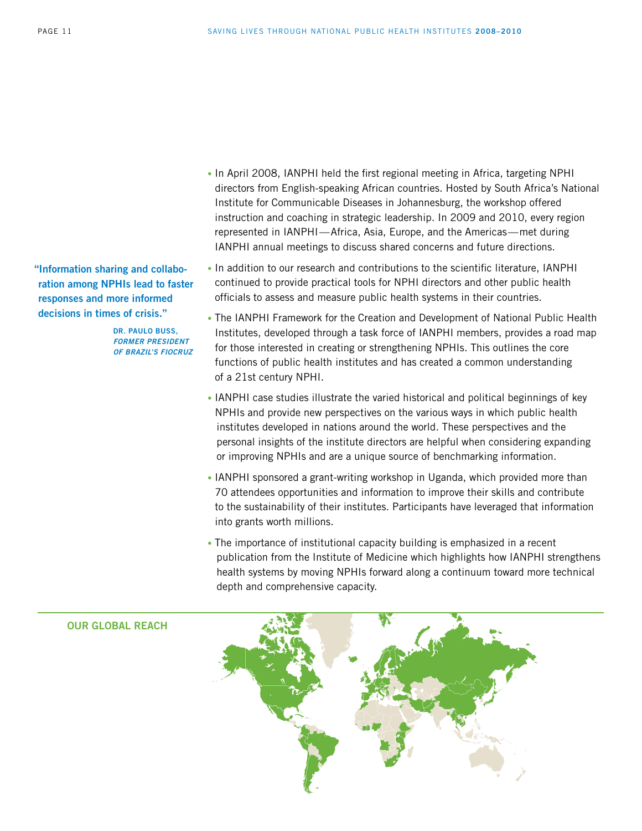**"Information sharing and collaboration among NPHIs lead to faster responses and more informed decisions in times of crisis."**

> **Dr. Paulo Buss,**  *former president of Brazil's FIOCRUZ*

- In April 2008, IANPHI held the first regional meeting in Africa, targeting NPHI directors from English-speaking African countries. Hosted by South Africa's National Institute for Communicable Diseases in Johannesburg, the workshop offered instruction and coaching in strategic leadership. In 2009 and 2010, every region represented in IANPHI—Africa, Asia, Europe, and the Americas—met during IANPHI annual meetings to discuss shared concerns and future directions.
- In addition to our research and contributions to the scientific literature, IANPHI continued to provide practical tools for NPHI directors and other public health officials to assess and measure public health systems in their countries.
- The IANPHI Framework for the Creation and Development of National Public Health Institutes, developed through a task force of IANPHI members, provides a road map for those interested in creating or strengthening NPHIs. This outlines the core functions of public health institutes and has created a common understanding of a 21st century NPHI.
- IANPHI case studies illustrate the varied historical and political beginnings of key NPHIs and provide new perspectives on the various ways in which public health institutes developed in nations around the world. These perspectives and the personal insights of the institute directors are helpful when considering expanding or improving NPHIs and are a unique source of benchmarking information.
- IANPHI sponsored a grant-writing workshop in Uganda, which provided more than 70 attendees opportunities and information to improve their skills and contribute to the sustainability of their institutes. Participants have leveraged that information into grants worth millions.
- The importance of institutional capacity building is emphasized in a recent publication from the Institute of Medicine which highlights how IANPHI strengthens health systems by moving NPHIs forward along a continuum toward more technical depth and comprehensive capacity.



#### **Our global reach**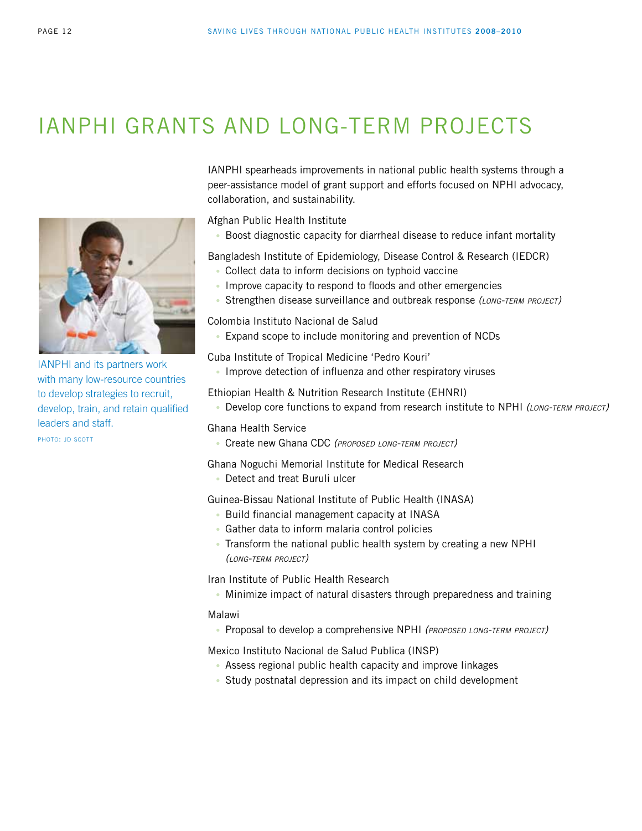# IANPHI Grants and Long-term Projects



IANPHI and its partners work with many low-resource countries to develop strategies to recruit, develop, train, and retain qualified leaders and staff.

photo: jd scott

IANPHI spearheads improvements in national public health systems through a peer-assistance model of grant support and efforts focused on NPHI advocacy, collaboration, and sustainability.

Afghan Public Health Institute

• Boost diagnostic capacity for diarrheal disease to reduce infant mortality

Bangladesh Institute of Epidemiology, Disease Control & Research (IEDCR)

- Collect data to inform decisions on typhoid vaccine
- Improve capacity to respond to floods and other emergencies
- Strengthen disease surveillance and outbreak response *(long-term project)*

Colombia Instituto Nacional de Salud

• Expand scope to include monitoring and prevention of NCDs

Cuba Institute of Tropical Medicine 'Pedro Kouri'

• Improve detection of influenza and other respiratory viruses

Ethiopian Health & Nutrition Research Institute (EHNRI)

• Develop core functions to expand from research institute to NPHI *(long-term project)*

Ghana Health Service

• Create new Ghana CDC *(proposed long-term project)*

Ghana Noguchi Memorial Institute for Medical Research

• Detect and treat Buruli ulcer

Guinea-Bissau National Institute of Public Health (INASA)

- Build financial management capacity at INASA
- Gather data to inform malaria control policies
- Transform the national public health system by creating a new NPHI  *(long-term project)*

Iran Institute of Public Health Research

• Minimize impact of natural disasters through preparedness and training

#### Malawi

• Proposal to develop a comprehensive NPHI *(proposed long-term project)*

Mexico Instituto Nacional de Salud Publica (INSP)

- Assess regional public health capacity and improve linkages
- Study postnatal depression and its impact on child development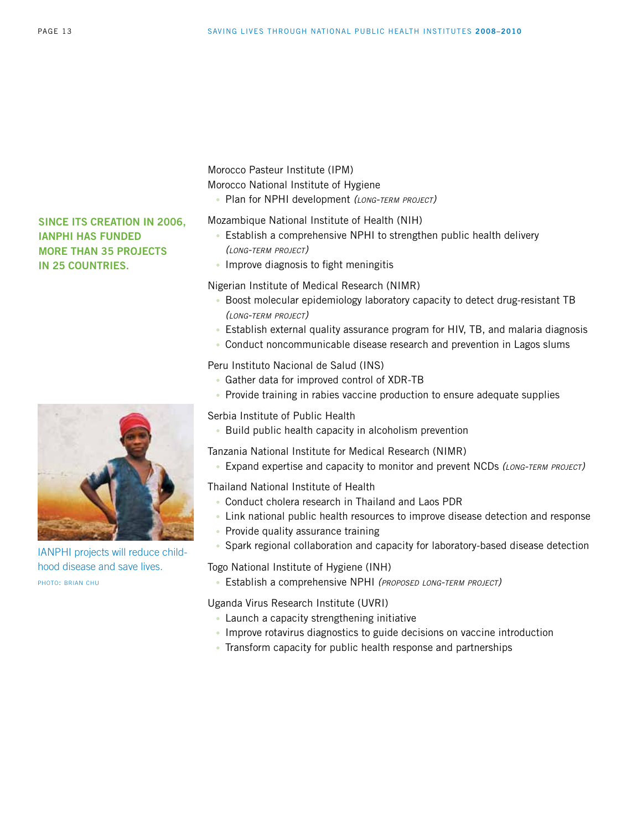**Since its creation in 2006, IANPHI has funded** 

**more than 35 projects in 25 countries.** 



IANPHI projects will reduce childhood disease and save lives. photo: brian chu

Morocco Pasteur Institute (IPM)

Morocco National Institute of Hygiene

• Plan for NPHI development *(long-term project)*

Mozambique National Institute of Health (NIH)

- Establish a comprehensive NPHI to strengthen public health delivery  *(long-term project)*
- Improve diagnosis to fight meningitis

Nigerian Institute of Medical Research (NIMR)

- Boost molecular epidemiology laboratory capacity to detect drug-resistant TB *(long-term project)*
- Establish external quality assurance program for HIV, TB, and malaria diagnosis
- Conduct noncommunicable disease research and prevention in Lagos slums

Peru Instituto Nacional de Salud (INS)

- Gather data for improved control of XDR-TB
- Provide training in rabies vaccine production to ensure adequate supplies

Serbia Institute of Public Health

• Build public health capacity in alcoholism prevention

Tanzania National Institute for Medical Research (NIMR)

• Expand expertise and capacity to monitor and prevent NCDs *(long-term project)*

Thailand National Institute of Health

- Conduct cholera research in Thailand and Laos PDR
- Link national public health resources to improve disease detection and response
- Provide quality assurance training
- Spark regional collaboration and capacity for laboratory-based disease detection

Togo National Institute of Hygiene (INH)

• Establish a comprehensive NPHI *(proposed long-term project)*

Uganda Virus Research Institute (UVRI)

- Launch a capacity strengthening initiative
- Improve rotavirus diagnostics to guide decisions on vaccine introduction
- Transform capacity for public health response and partnerships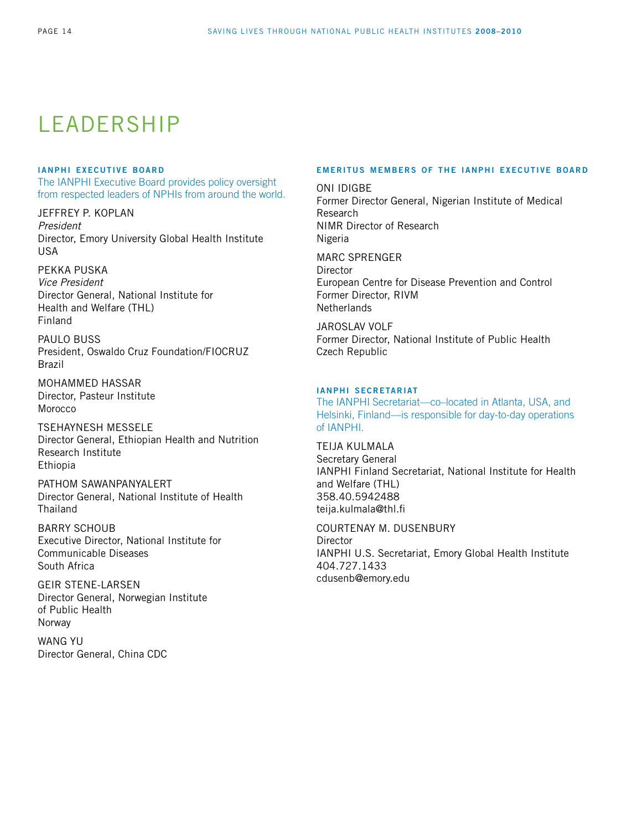# LEADERSHIP

#### **ianphi executive board**

The IANPHI Executive Board provides policy oversight from respected leaders of NPHIs from around the world.

Jeffrey P. Koplan *President*  Director, Emory University Global Health Institute USA

### Pekka Puska

*Vice President*  Director General, National Institute for Health and Welfare (THL) Finland

PAULO BUSS President, Oswaldo Cruz Foundation/FIOCRUZ Brazil

Mohammed Hassar Director, Pasteur Institute Morocco

Tsehaynesh Messele Director General, Ethiopian Health and Nutrition Research Institute Ethiopia

Pathom Sawanpanyalert Director General, National Institute of Health **Thailand** 

Barry Schoub Executive Director, National Institute for Communicable Diseases South Africa

Geir Stene-Larsen Director General, Norwegian Institute of Public Health Norway

Wang Yu Director General, China CDC

#### **emeritus members of the ianphi executive board**

ONI IDIGBE Former Director General, Nigerian Institute of Medical Research NIMR Director of Research Nigeria

Marc Sprenger **Director** European Centre for Disease Prevention and Control Former Director, RIVM **Netherlands** 

JAROSI AV VOLF Former Director, National Institute of Public Health Czech Republic

#### **ianphi secretariat**

The IANPHI Secretariat—co–located in Atlanta, USA, and Helsinki, Finland—is responsible for day-to-day operations of IANPHI.

Teija Kulmala Secretary General IANPHI Finland Secretariat, National Institute for Health and Welfare (THL) 358.40.5942488 teija.kulmala@thl.fi

Courtenay M. Dusenbury **Director** IANPHI U.S. Secretariat, Emory Global Health Institute 404.727.1433 cdusenb@emory.edu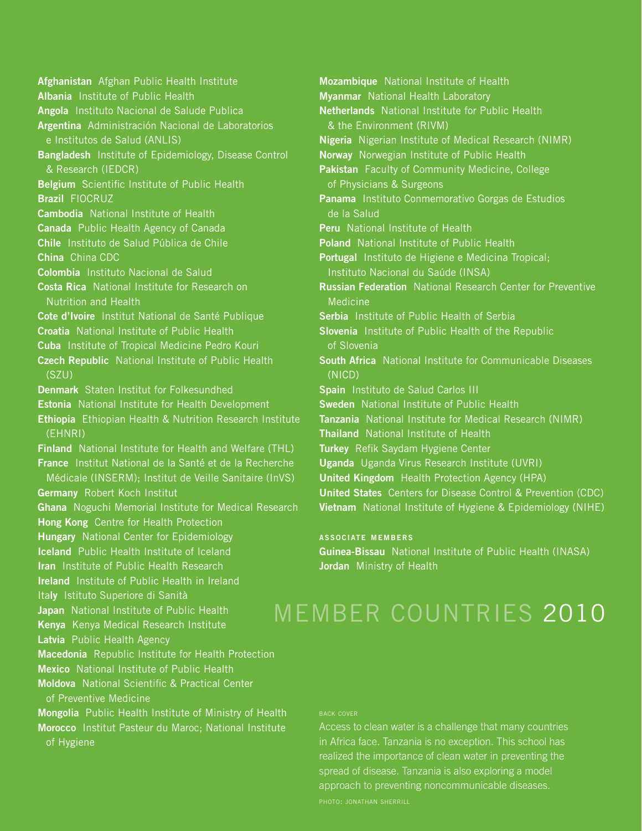**Afghanistan** Afghan Public Health Institute **Albania** Institute of Public Health **Angola** Instituto Nacional de Salude Publica **Argentina** Administración Nacional de Laboratorios e Institutos de Salud (ANLIS) **Bangladesh** Institute of Epidemiology, Disease Control & Research (IEDCR) **Belgium** Scientific Institute of Public Health **Brazil** FIOCRUZ **Cambodia** National Institute of Health **Canada** Public Health Agency of Canada **Chile** Instituto de Salud Pública de Chile **China** China CDC **Colombia** Instituto Nacional de Salud **Costa Rica** National Institute for Research on Nutrition and Health **Cote d'Ivoire** Institut National de Santé Publique **Croatia** National Institute of Public Health **Cuba** Institute of Tropical Medicine Pedro Kouri **Czech Republic** National Institute of Public Health (SZU) **Denmark** Staten Institut for Folkesundhed **Estonia** National Institute for Health Development **Ethiopia** Ethiopian Health & Nutrition Research Institute (EHNRI) **Finland** National Institute for Health and Welfare (THL) **France** Institut National de la Santé et de la Recherche Médicale (INSERM); Institut de Veille Sanitaire (InVS) **Germany** Robert Koch Institut **Ghana** Noguchi Memorial Institute for Medical Research **Hong Kong** Centre for Health Protection **Hungary** National Center for Epidemiology **Iceland** Public Health Institute of Iceland **Iran** Institute of Public Health Research **Ireland** Institute of Public Health in Ireland Ita**ly** Istituto Superiore di Sanità **Japan** National Institute of Public Health **Kenya** Kenya Medical Research Institute **Latvia** Public Health Agency **Macedonia** Republic Institute for Health Protection **Mexico** National Institute of Public Health **Moldova** National Scientific & Practical Center of Preventive Medicine **Mongolia** Public Health Institute of Ministry of Health **Morocco** Institut Pasteur du Maroc; National Institute of Hygiene

**Mozambique** National Institute of Health **Myanmar** National Health Laboratory **Netherlands** National Institute for Public Health & the Environment (RIVM) **Nigeria** Nigerian Institute of Medical Research (NIMR) **Norway** Norwegian Institute of Public Health **Pakistan** Faculty of Community Medicine, College of Physicians & Surgeons **Panama** Instituto Conmemorativo Gorgas de Estudios de la Salud **Peru** National Institute of Health **Poland** National Institute of Public Health **Portugal** Instituto de Higiene e Medicina Tropical; Instituto Nacional du Saúde (INSA) **Russian Federation** National Research Center for Preventive Medicine **Serbia** Institute of Public Health of Serbia **Slovenia** Institute of Public Health of the Republic of Slovenia **South Africa** National Institute for Communicable Diseases (NICD) **Spain** Instituto de Salud Carlos III **Sweden** National Institute of Public Health **Tanzania** National Institute for Medical Research (NIMR) **Thailand** National Institute of Health **Turkey** Refik Saydam Hygiene Center **Uganda** Uganda Virus Research Institute (UVRI) **United Kingdom** Health Protection Agency (HPA) **United States** Centers for Disease Control & Prevention (CDC) **Vietnam** National Institute of Hygiene & Epidemiology (NIHE)

#### **associate members**

**Guinea-Bissau** National Institute of Public Health (INASA) **Jordan** Ministry of Health

# Member Countries 2010

#### back cover

Access to clean water is a challenge that many countries in Africa face. Tanzania is no exception. This school has realized the importance of clean water in preventing the spread of disease. Tanzania is also exploring a model approach to preventing noncommunicable diseases. photo: jonathan sherrill